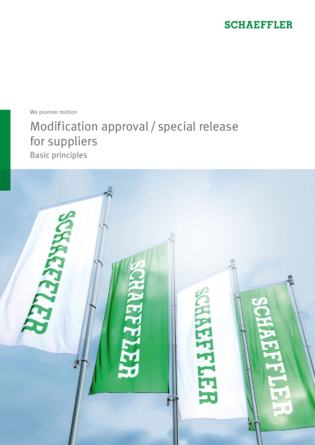### **SCHAEFFLER**

We pioneer motion

# Modification approval / special release for suppliers

Basic principles

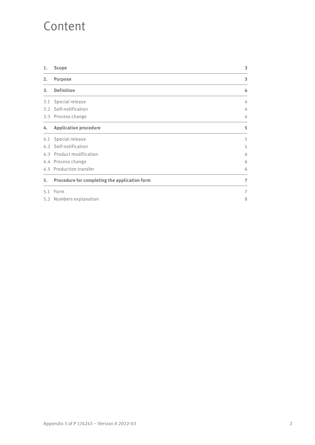## Content

| 1.  | <b>Scope</b>                                  | 3              |
|-----|-----------------------------------------------|----------------|
| 2.  | <b>Purpose</b>                                | 3              |
| 3.  | <b>Definition</b>                             | 4              |
| 3.1 | Special release                               | 4              |
| 3.2 | Self-notification                             | 4              |
|     | 3.3 Process change                            | 4              |
| 4.  | <b>Application procedure</b>                  | 5              |
|     | 4.1 Special release                           | 5              |
|     | 4.2 Self-notification                         | 5              |
|     | 4.3 Product modification                      | 6              |
|     | 4.4 Process change                            | 6              |
|     | 4.5 Production transfer                       | 6              |
| 5.  | Procedure for completing the application form | $\overline{7}$ |
| 5.1 | Form                                          | 7              |
| 5.2 | Numbers explanation                           | 8              |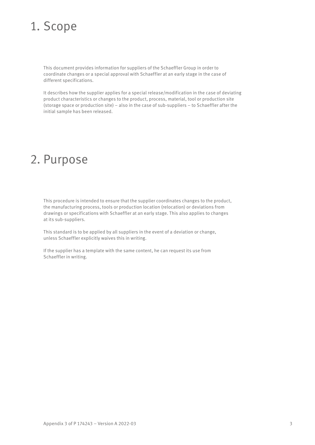## 1. Scope

This document provides information for suppliers of the Schaeffler Group in order to coordinate changes or a special approval with Schaeffler at an early stage in the case of different specifications.

It describes how the supplier applies for a special release/modification in the case of deviating product characteristics or changes to the product, process, material, tool or production site (storage space or production site) – also in the case of sub-suppliers – to Schaeffler after the initial sample has been released.

## 2. Purpose

This procedure is intended to ensure that the supplier coordinates changes to the product, the manufacturing process, tools or production location (relocation) or deviations from drawings or specifications with Schaeffler at an early stage. This also applies to changes at its sub-suppliers.

This standard is to be applied by all suppliers in the event of a deviation or change, unless Schaeffler explicitly waives this in writing.

If the supplier has a template with the same content, he can request its use from Schaeffler in writing.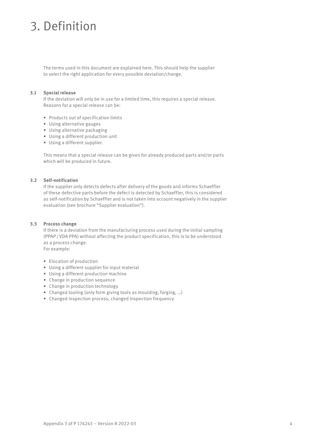## 3. Definition

The terms used in this document are explained here. This should help the supplier to select the right application for every possible deviation/change.

#### **3.1 Special release**

If the deviation will only be in use for a limited time, this requires a special release. Reasons for a special release can be:

- Products out of specification limits
- Using alternative gauges
- Using alternative packaging
- Using a different production unit
- Using a different supplier.

This means that a special release can be given for already produced parts and/or parts which will be produced in future.

#### **3.2 Self-notification**

If the supplier only detects defects after delivery of the goods and informs Schaeffler of these defective parts before the defect is detected by Schaeffler, this is considered as self-notification by Schaeffler and is not taken into account negatively in the supplier evaluation (see brochure "Supplier evaluation").

#### **3.3 Process change**

If there is a deviation from the manufacturing process used during the initial sampling (PPAP/VDA PPA) without affecting the product specification, this is to be understood as a process change. For example:

- Elocation of production
- Using a different supplier for input material
- Using a different production machine
- Change in production sequence
- Change in production technology
- Changed tooling (only form giving tools as moulding, forging, …)
- Changed inspection process, changed inspection frequency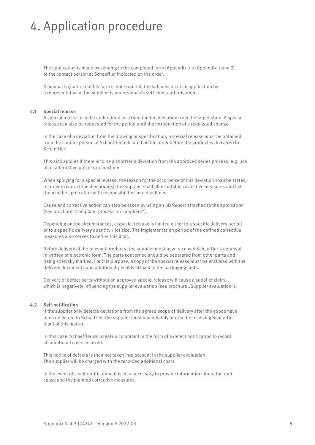## 4. Application procedure

The application is made by sending in the completed form (Appendix 1 or Appendix 1 and 2) to the contact person at Schaeffler indicated on the order.

A manual signature on this form is not required, the submission of an application by a representative of the supplier is understood as sufficient authorisation.

#### **4.1 Special release**

A special release is to be understood as a time-limited deviation from the target state. A special release can also be requested for the period until the introduction of a requested change.

In the case of a deviation from the drawing or specification, a special release must be obtained from the contact person at Schaeffler indicated on the order before the product is delivered to Schaeffler.

This also applies if there is to be a shortterm deviation from the approved series process, e.g. use of an alternative process or machine.

When applying for a special release, the reason for the occurrence of this deviation shall be stated. In order to correct the deviation(s), the supplier shall plan suitable corrective measures and list them in the application with responsibilities and deadlines.

Cause and corrective action can also be taken by using an 8D Report attached to the application (see brochure "Complaint process for suppliers").

Depending on the circumstances, a special release is limited either to a specific delivery period or to a specific delivery quantity / lot size. The implementation period of the defined corrective measures also serves to define this limit.

Before delivery of the relevant products, the supplier must have received Schaeffler's approval in written or electronic form. The parts concerned should be separated from other parts and being specially marked. For this purpose, a copy of the special release must be enclosed with the delivery documents and additionally visibly affixed to the packaging units.

Delivery of defect parts without an approved special release will cause a supplier claim, which is negatively influencing the supplier evaluation (see brochure "Supplier evaluation").

#### **4.2 Self-notification**

If the supplier only detects deviations from the agreed scope of delivery after the goods have been delivered to Schaeffler, the supplier must immediately inform the receiving Schaeffler plant of this matter.

In this case, Schaeffler will create a complaint in the form of a defect notification to record all additional costs incurred.

This notice of defects is then not taken into account in the supplier evaluation. The supplier will be charged with the recorded additional costs.

In the event of a self-notification, it is also necessary to provide information about the root cause and the planned corrective measures.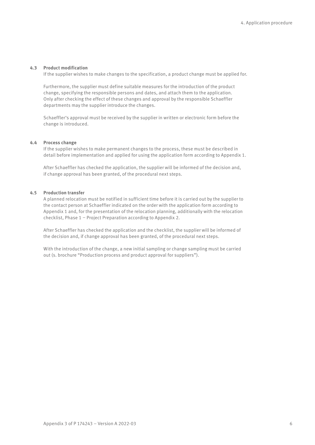#### **4.3 Product modification**

If the supplier wishes to make changes to the specification, a product change must be applied for.

Furthermore, the supplier must define suitable measures for the introduction of the product change, specifying the responsible persons and dates, and attach them to the application. Only after checking the effect of these changes and approval by the responsible Schaeffler departments may the supplier introduce the changes.

Schaeffler's approval must be received by the supplier in written or electronic form before the change is introduced.

#### **4.4 Process change**

If the supplier wishes to make permanent changes to the process, these must be described in detail before implementation and applied for using the application form according to Appendix 1.

After Schaeffler has checked the application, the supplier will be informed of the decision and, if change approval has been granted, of the procedural next steps.

#### **4.5 Production transfer**

A planned relocation must be notified in sufficient time before it is carried out by the supplier to the contact person at Schaeffler indicated on the order with the application form according to Appendix 1 and, for the presentation of the relocation planning, additionally with the relocation checklist, Phase 1 – Project Preparation according to Appendix 2.

After Schaeffler has checked the application and the checklist, the supplier will be informed of the decision and, if change approval has been granted, of the procedural next steps.

With the introduction of the change, a new initial sampling or change sampling must be carried out (s. brochure "Production process and product approval for suppliers").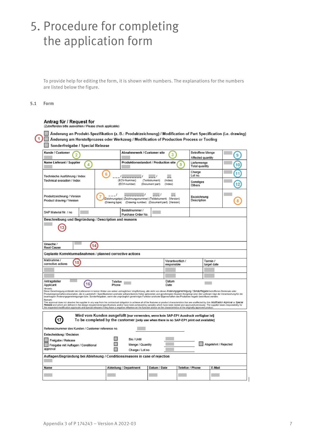## 5. Procedure for completing the application form

To provide help for editing the form, it is shown with numbers. The explanations for the numbers are listed below the figure.

#### **5.1 Form**

#### Antrag für / Request for

(Zutreffendes bitte auswählen / Please check applicable)

Anderung an Produkt-Spezifikation (z. B.: Produktzeichnung) / Modification of Part Specification (i.e. drawing) Anderung am Herstellprozess oder Werkzeug / Modification of Production Process or Tooling Sonderfreigabe / Special Release

| Kunde / Customer<br>2                                                                                                                                                                                                                                                                                                                                                                                                                                                                                                                                                                                         | Abnahmewerk / Customer site                                       | 3                                                                                                                       |                                      | <b>Betroffene Menge</b><br>9<br>Affected quantity |    |  |  |  |
|---------------------------------------------------------------------------------------------------------------------------------------------------------------------------------------------------------------------------------------------------------------------------------------------------------------------------------------------------------------------------------------------------------------------------------------------------------------------------------------------------------------------------------------------------------------------------------------------------------------|-------------------------------------------------------------------|-------------------------------------------------------------------------------------------------------------------------|--------------------------------------|---------------------------------------------------|----|--|--|--|
| Name Lieferant / Supplier<br>4                                                                                                                                                                                                                                                                                                                                                                                                                                                                                                                                                                                | Produktionsstandort / Production site                             | 5                                                                                                                       | Liefermenge<br><b>Total quantity</b> |                                                   | 10 |  |  |  |
| Technische Ausführung / Index                                                                                                                                                                                                                                                                                                                                                                                                                                                                                                                                                                                 | 6                                                                 |                                                                                                                         | Charge<br>Lot no.                    |                                                   |    |  |  |  |
| Technical execution / Index                                                                                                                                                                                                                                                                                                                                                                                                                                                                                                                                                                                   | (ECV-Nummer)<br>(Teildokument)<br>(ECV-number)<br>(Document part) | (Index)<br>(Index)                                                                                                      | Sonstiges<br>Others                  |                                                   |    |  |  |  |
| Produktzeichnung / Version<br>Product drawing / Version                                                                                                                                                                                                                                                                                                                                                                                                                                                                                                                                                       |                                                                   | Zeichnungstyp) (Zeichnungsnummer) (Teildokument) (Version)<br>(Drawing type) (Drawing number) (Document part) (Version) |                                      | Bezeichnung                                       |    |  |  |  |
| SAP Material Nr. / no                                                                                                                                                                                                                                                                                                                                                                                                                                                                                                                                                                                         | Bestellnummer /<br>Purchase Order No.                             |                                                                                                                         |                                      |                                                   |    |  |  |  |
| Beschreibung und Begründung / Description and reasons                                                                                                                                                                                                                                                                                                                                                                                                                                                                                                                                                         |                                                                   |                                                                                                                         |                                      |                                                   |    |  |  |  |
| Ursache /<br>14<br><b>Root Cause</b>                                                                                                                                                                                                                                                                                                                                                                                                                                                                                                                                                                          |                                                                   |                                                                                                                         |                                      |                                                   |    |  |  |  |
| Geplante Korrekturmaßnahmen / planned corrective actions                                                                                                                                                                                                                                                                                                                                                                                                                                                                                                                                                      |                                                                   |                                                                                                                         |                                      |                                                   |    |  |  |  |
| Maßnahme /<br>15<br>corrective actions                                                                                                                                                                                                                                                                                                                                                                                                                                                                                                                                                                        | Verantwortlich /<br>responsible                                   |                                                                                                                         | Termin /<br>target date              |                                                   |    |  |  |  |
|                                                                                                                                                                                                                                                                                                                                                                                                                                                                                                                                                                                                               |                                                                   |                                                                                                                         |                                      |                                                   |    |  |  |  |
| Antragsteller                                                                                                                                                                                                                                                                                                                                                                                                                                                                                                                                                                                                 | Telefon                                                           | Datum                                                                                                                   |                                      |                                                   |    |  |  |  |
| 16<br>Applicant<br>Hirweis:                                                                                                                                                                                                                                                                                                                                                                                                                                                                                                                                                                                   | Phone                                                             | Date                                                                                                                    |                                      |                                                   |    |  |  |  |
| Diese Genehmigung entbindet den Lieferanten in keiner Weise von seiner vertraglichen Verpflichtung, alle nicht von dieser Änderungsgenehmigung / Sonderfreigabe betroffenen Merkmale oder<br>Produkteigenschaften einzuhalten, die in Lastenheft / Spezifikationen und/oder anhand bereits früher getesteten und genehmigten Mustern festgelegt sind. Der Lieferant trägt die Verantwortung für die<br>beantragten Änderungsgenehmigungen bzw. Sonderfreigaben, wenn die ursprünglich genehmigte Funktion und/oder Eigenschaften des Produktes negativ beeinflusst werden.                                    |                                                                   |                                                                                                                         |                                      |                                                   |    |  |  |  |
| Remark:<br>This approval does not absolve the supplier in any way from his contractual obligation to achieve all of the features or product characteristics that are unaffected by this MOdWcation Approval or Special<br>Release and which are defined in the design requirements/specifications and/or have been achieved by samples which have been tested and approved previously. The supplier bears responsibility for<br>the requested modification approvals and special releases if they have a negative influence on the function and/or on the characteristics of the originally approved product. |                                                                   |                                                                                                                         |                                      |                                                   |    |  |  |  |
| Wird vom Kunden ausgefüllt [nur verwenden, wenn kein SAP-EP1 Ausdruck verfügbar ist]<br>To be completed by the customer [only use when there is no SAP-EP1 print out available]                                                                                                                                                                                                                                                                                                                                                                                                                               |                                                                   |                                                                                                                         |                                      |                                                   |    |  |  |  |
| Referenznummer des Kunden / Customer reference no.                                                                                                                                                                                                                                                                                                                                                                                                                                                                                                                                                            |                                                                   |                                                                                                                         |                                      |                                                   |    |  |  |  |
| <b>Entscheidung / Decision</b>                                                                                                                                                                                                                                                                                                                                                                                                                                                                                                                                                                                |                                                                   |                                                                                                                         |                                      |                                                   |    |  |  |  |
| Bis / Until<br>Freigabe / Release<br>Abgelehnt / Rejected<br>Menge / Quantity<br>Freigabe mit Auflagen / Conditional                                                                                                                                                                                                                                                                                                                                                                                                                                                                                          |                                                                   |                                                                                                                         |                                      |                                                   |    |  |  |  |
| approval<br>Charge / Lot no                                                                                                                                                                                                                                                                                                                                                                                                                                                                                                                                                                                   |                                                                   |                                                                                                                         |                                      |                                                   |    |  |  |  |
| Auflagen/Begründung bei Ablehnung / Conditions/reasons in case of rejection                                                                                                                                                                                                                                                                                                                                                                                                                                                                                                                                   |                                                                   |                                                                                                                         |                                      |                                                   |    |  |  |  |
| Name                                                                                                                                                                                                                                                                                                                                                                                                                                                                                                                                                                                                          | Abteilung / Department<br>Datum / Date                            |                                                                                                                         | Telefon / Phone                      | E-Mail                                            |    |  |  |  |
|                                                                                                                                                                                                                                                                                                                                                                                                                                                                                                                                                                                                               |                                                                   |                                                                                                                         |                                      |                                                   |    |  |  |  |